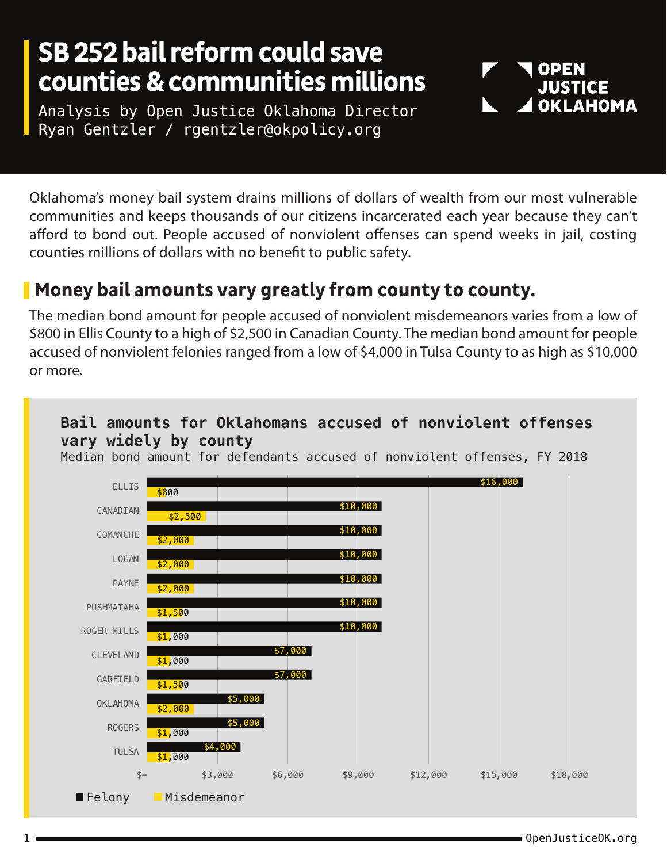## **SB 252 bail reform could save counties & communities millions**

Analysis by Open Justice Oklahoma Director Ryan Gentzler / rgentzler@okpolicy.org

Oklahoma's money bail system drains millions of dollars of wealth from our most vulnerable communities and keeps thousands of our citizens incarcerated each year because they can't afford to bond out. People accused of nonviolent offenses can spend weeks in jail, costing counties millions of dollars with no benefit to public safety.

### **Money bail amounts vary greatly from county to county.**

The median bond amount for people accused of nonviolent misdemeanors varies from a low of \$800 in Ellis County to a high of \$2,500 in Canadian County. The median bond amount for people accused of nonviolent felonies ranged from a low of \$4,000 in Tulsa County to as high as \$10,000 or more.

### **Bail amounts for Oklahomans accused of nonviolent offenses vary widely by county**

Median bond amount for defendants accused of nonviolent offenses, FY 2018



**OPEN JUSTICE** 

**OKLAHOMA**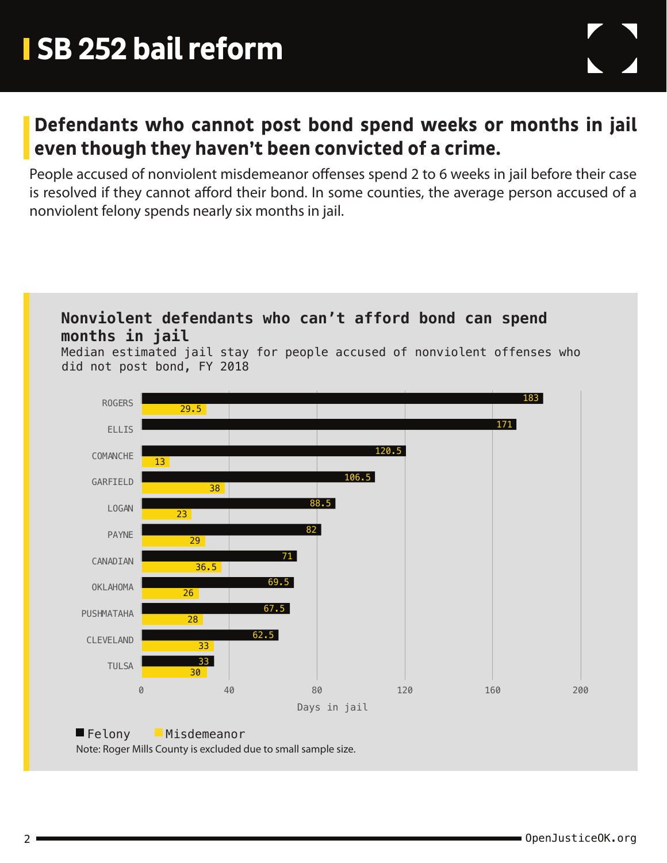### **Defendants who cannot post bond spend weeks or months in jail even though they haven't been convicted of a crime.**

People accused of nonviolent misdemeanor offenses spend 2 to 6 weeks in jail before their case is resolved if they cannot afford their bond. In some counties, the average person accused of a nonviolent felony spends nearly six months in jail.



#### Felony Misdemeanor

Note: Roger Mills County is excluded due to small sample size.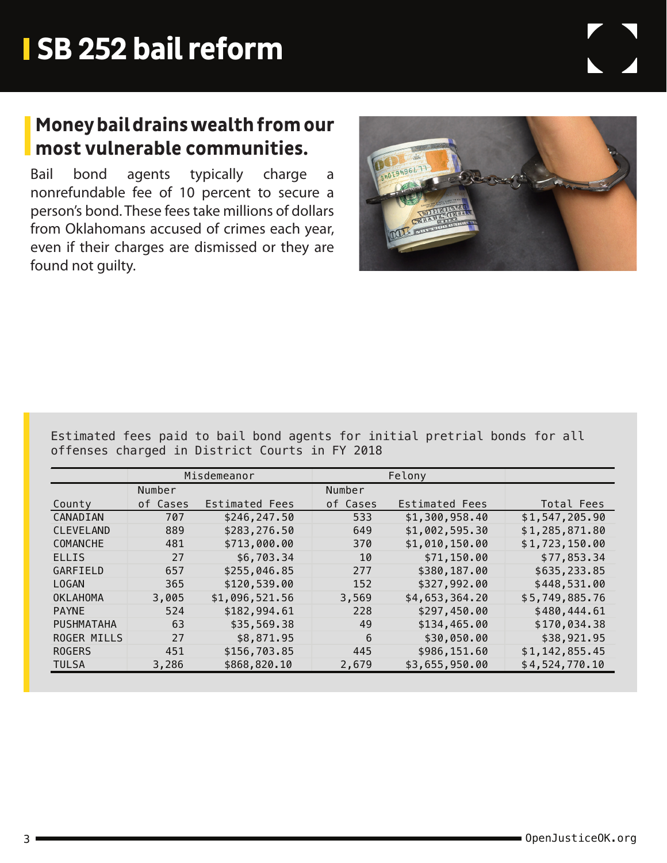## **Money bail drains wealth from our most vulnerable communities.**

Bail bond agents typically charge a nonrefundable fee of 10 percent to secure a person's bond. These fees take millions of dollars from Oklahomans accused of crimes each year, even if their charges are dismissed or they are found not guilty.

Estimated fees paid to bail bond agents for initial pretrial bonds for all offenses charged in District Courts in FY 2018

|                    | Misdemeanor |                | Felony   |                |                |
|--------------------|-------------|----------------|----------|----------------|----------------|
|                    | Number      |                | Number   |                |                |
| County             | of Cases    | Estimated Fees | of Cases | Estimated Fees | Total Fees     |
| CANADIAN           | 707         | \$246,247.50   | 533      | \$1,300,958.40 | \$1,547,205.90 |
| <b>CLEVELAND</b>   | 889         | \$283,276.50   | 649      | \$1,002,595.30 | \$1,285,871.80 |
| COMANCHE           | 481         | \$713,000.00   | 370      | \$1,010,150.00 | \$1,723,150.00 |
| <b>ELLIS</b>       | 27          | \$6,703.34     | 10       | \$71,150.00    | \$77,853.34    |
| GARFIELD           | 657         | \$255,046.85   | 277      | \$380,187.00   | \$635,233.85   |
| <b>LOGAN</b>       | 365         | \$120,539.00   | 152      | \$327,992.00   | \$448,531.00   |
| <b>OKLAHOMA</b>    | 3,005       | \$1,096,521.56 | 3,569    | \$4,653,364.20 | \$5,749,885.76 |
| <b>PAYNE</b>       | 524         | \$182,994.61   | 228      | \$297,450.00   | \$480,444.61   |
| <b>PUSHMATAHA</b>  | 63          | \$35,569.38    | 49       | \$134,465.00   | \$170,034.38   |
| <b>ROGER MILLS</b> | 27          | \$8,871.95     | 6        | \$30,050.00    | \$38,921.95    |
| <b>ROGERS</b>      | 451         | \$156,703.85   | 445      | \$986,151.60   | \$1,142,855.45 |
| <b>TULSA</b>       | 3,286       | \$868,820.10   | 2,679    | \$3,655,950.00 | \$4,524,770.10 |

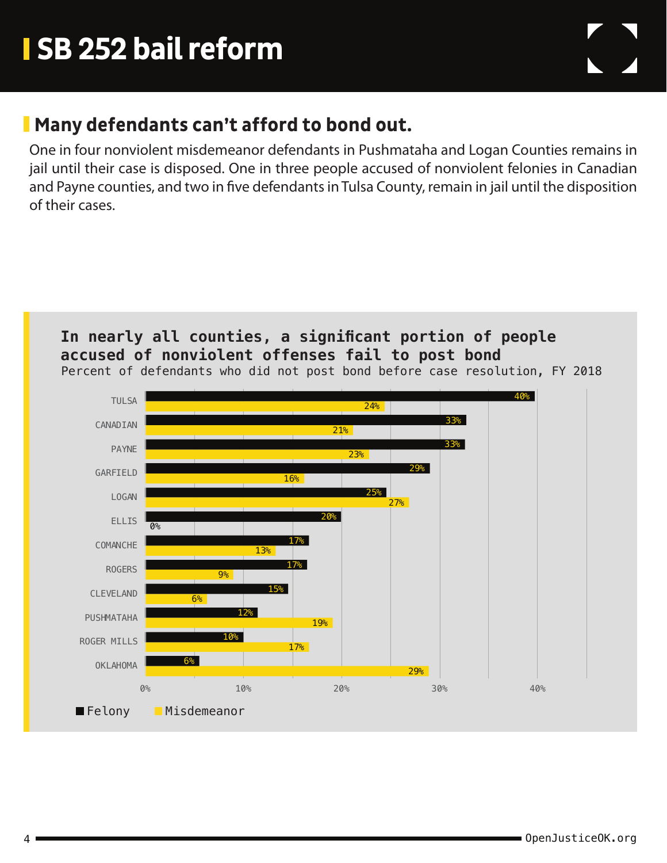### **Many defendants can't afford to bond out.**

One in four nonviolent misdemeanor defendants in Pushmataha and Logan Counties remains in jail until their case is disposed. One in three people accused of nonviolent felonies in Canadian and Payne counties, and two in five defendants in Tulsa County, remain in jail until the disposition of their cases.



**accused of nonviolent offenses fail to post bond**

**In nearly all counties, a significant portion of people** 

Percent of defendants who did not post bond before case resolution, FY 2018